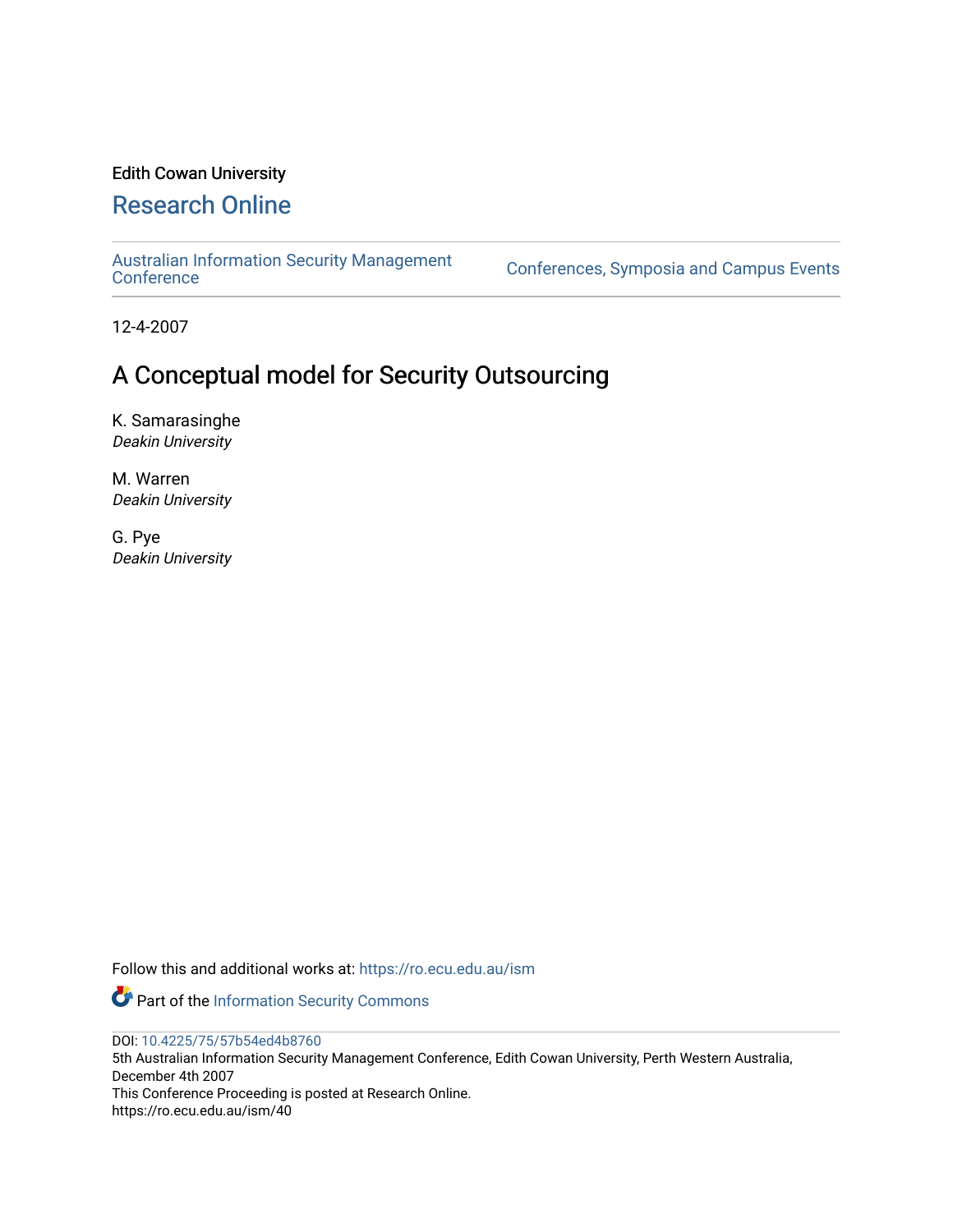# Edith Cowan University

# [Research Online](https://ro.ecu.edu.au/)

[Australian Information Security Management](https://ro.ecu.edu.au/ism) 

[Conference](https://ro.ecu.edu.au/ism)s, Symposia and Campus Events

12-4-2007

# A Conceptual model for Security Outsourcing

K. Samarasinghe Deakin University

M. Warren Deakin University

G. Pye Deakin University

Follow this and additional works at: [https://ro.ecu.edu.au/ism](https://ro.ecu.edu.au/ism?utm_source=ro.ecu.edu.au%2Fism%2F40&utm_medium=PDF&utm_campaign=PDFCoverPages) 

Part of the [Information Security Commons](http://network.bepress.com/hgg/discipline/1247?utm_source=ro.ecu.edu.au%2Fism%2F40&utm_medium=PDF&utm_campaign=PDFCoverPages) 

DOI: [10.4225/75/57b54ed4b8760](https://doi.org/10.4225/75/57b54ed4b8760) 

5th Australian Information Security Management Conference, Edith Cowan University, Perth Western Australia, December 4th 2007 This Conference Proceeding is posted at Research Online.

https://ro.ecu.edu.au/ism/40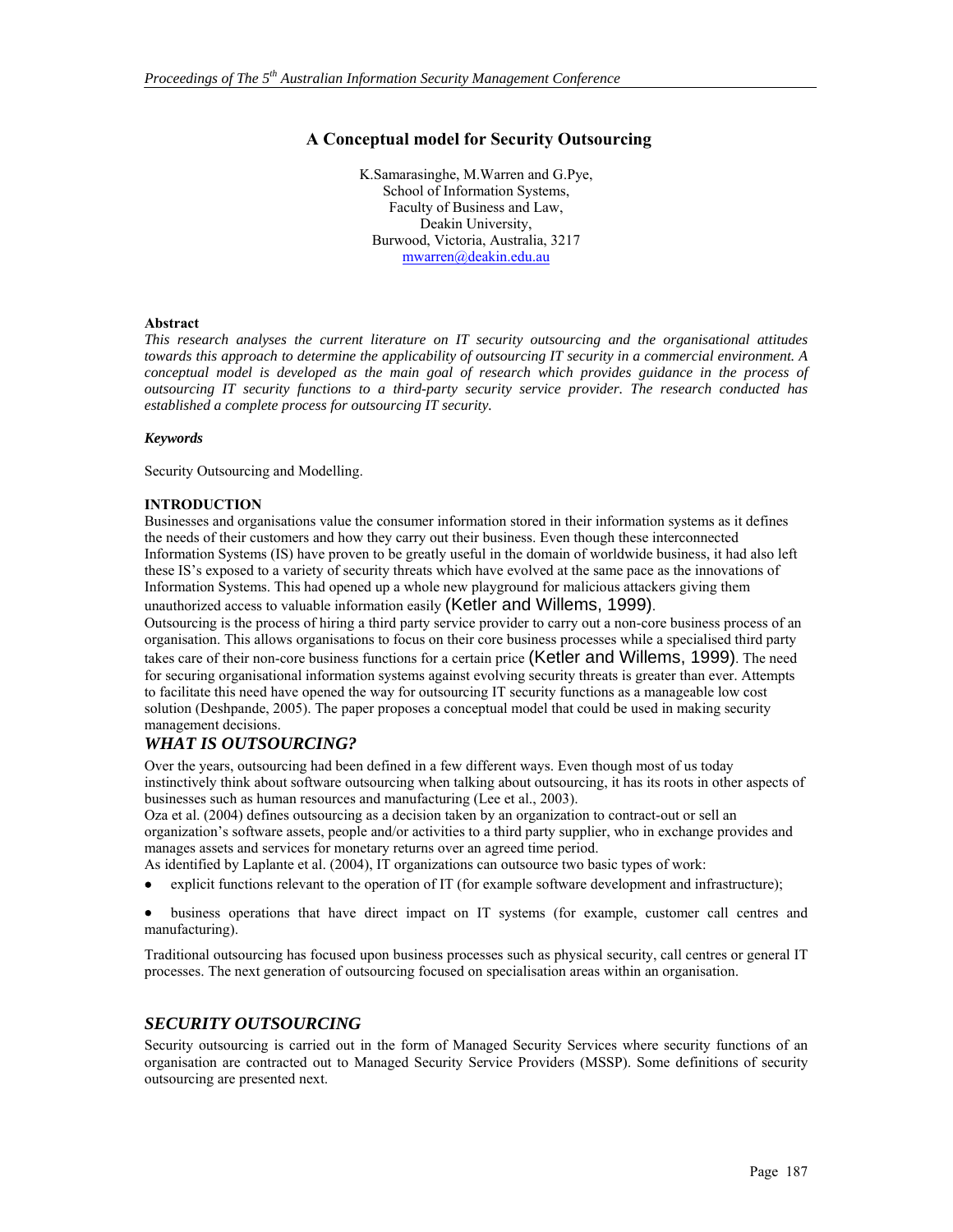### **A Conceptual model for Security Outsourcing**

K.Samarasinghe, M.Warren and G.Pye, School of Information Systems, Faculty of Business and Law, Deakin University, Burwood, Victoria, Australia, 3217 mwarren@deakin.edu.au

#### **Abstract**

*This research analyses the current literature on IT security outsourcing and the organisational attitudes towards this approach to determine the applicability of outsourcing IT security in a commercial environment. A conceptual model is developed as the main goal of research which provides guidance in the process of outsourcing IT security functions to a third-party security service provider. The research conducted has established a complete process for outsourcing IT security.* 

#### *Keywords*

Security Outsourcing and Modelling.

#### **INTRODUCTION**

Businesses and organisations value the consumer information stored in their information systems as it defines the needs of their customers and how they carry out their business. Even though these interconnected Information Systems (IS) have proven to be greatly useful in the domain of worldwide business, it had also left these IS's exposed to a variety of security threats which have evolved at the same pace as the innovations of Information Systems. This had opened up a whole new playground for malicious attackers giving them unauthorized access to valuable information easily (Ketler and Willems, 1999).

Outsourcing is the process of hiring a third party service provider to carry out a non-core business process of an organisation. This allows organisations to focus on their core business processes while a specialised third party takes care of their non-core business functions for a certain price (Ketler and Willems, 1999). The need for securing organisational information systems against evolving security threats is greater than ever. Attempts to facilitate this need have opened the way for outsourcing IT security functions as a manageable low cost solution (Deshpande, 2005). The paper proposes a conceptual model that could be used in making security management decisions.

### *WHAT IS OUTSOURCING?*

Over the years, outsourcing had been defined in a few different ways. Even though most of us today instinctively think about software outsourcing when talking about outsourcing, it has its roots in other aspects of businesses such as human resources and manufacturing (Lee et al., 2003).

Oza et al. (2004) defines outsourcing as a decision taken by an organization to contract-out or sell an organization's software assets, people and/or activities to a third party supplier, who in exchange provides and manages assets and services for monetary returns over an agreed time period.

As identified by Laplante et al. (2004), IT organizations can outsource two basic types of work:

• explicit functions relevant to the operation of IT (for example software development and infrastructure);

• business operations that have direct impact on IT systems (for example, customer call centres and manufacturing).

Traditional outsourcing has focused upon business processes such as physical security, call centres or general IT processes. The next generation of outsourcing focused on specialisation areas within an organisation.

### *SECURITY OUTSOURCING*

Security outsourcing is carried out in the form of Managed Security Services where security functions of an organisation are contracted out to Managed Security Service Providers (MSSP). Some definitions of security outsourcing are presented next.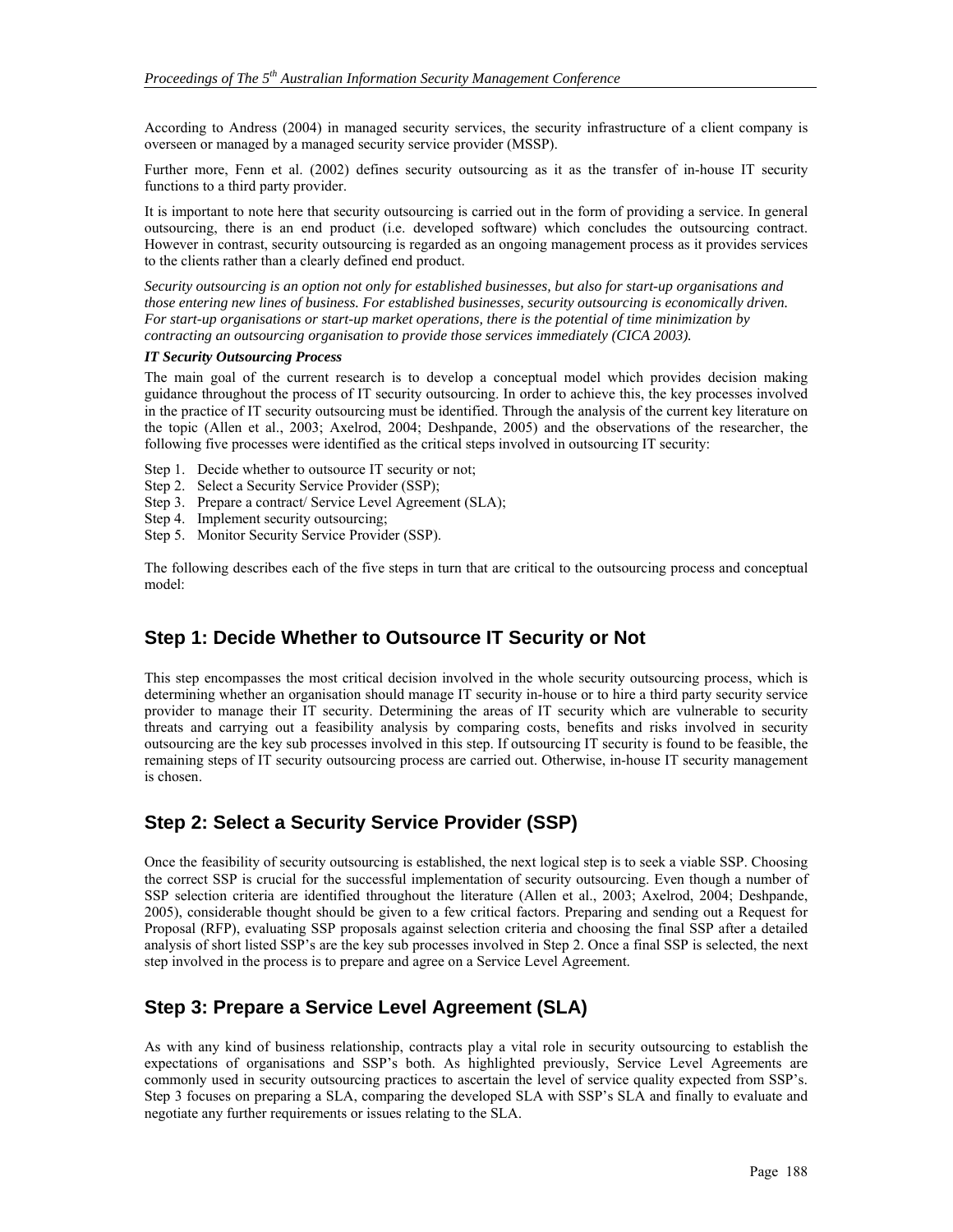According to Andress (2004) in managed security services, the security infrastructure of a client company is overseen or managed by a managed security service provider (MSSP).

Further more, Fenn et al. (2002) defines security outsourcing as it as the transfer of in-house IT security functions to a third party provider.

It is important to note here that security outsourcing is carried out in the form of providing a service. In general outsourcing, there is an end product (i.e. developed software) which concludes the outsourcing contract. However in contrast, security outsourcing is regarded as an ongoing management process as it provides services to the clients rather than a clearly defined end product.

*Security outsourcing is an option not only for established businesses, but also for start-up organisations and those entering new lines of business. For established businesses, security outsourcing is economically driven. For start-up organisations or start-up market operations, there is the potential of time minimization by contracting an outsourcing organisation to provide those services immediately (CICA 2003).* 

#### *IT Security Outsourcing Process*

The main goal of the current research is to develop a conceptual model which provides decision making guidance throughout the process of IT security outsourcing. In order to achieve this, the key processes involved in the practice of IT security outsourcing must be identified. Through the analysis of the current key literature on the topic (Allen et al., 2003; Axelrod, 2004; Deshpande, 2005) and the observations of the researcher, the following five processes were identified as the critical steps involved in outsourcing IT security:

- Step 1. Decide whether to outsource IT security or not;
- Step 2. Select a Security Service Provider (SSP);
- Step 3. Prepare a contract/ Service Level Agreement (SLA);
- Step 4. Implement security outsourcing;
- Step 5. Monitor Security Service Provider (SSP).

The following describes each of the five steps in turn that are critical to the outsourcing process and conceptual model:

### **Step 1: Decide Whether to Outsource IT Security or Not**

This step encompasses the most critical decision involved in the whole security outsourcing process, which is determining whether an organisation should manage IT security in-house or to hire a third party security service provider to manage their IT security. Determining the areas of IT security which are vulnerable to security threats and carrying out a feasibility analysis by comparing costs, benefits and risks involved in security outsourcing are the key sub processes involved in this step. If outsourcing IT security is found to be feasible, the remaining steps of IT security outsourcing process are carried out. Otherwise, in-house IT security management is chosen.

### **Step 2: Select a Security Service Provider (SSP)**

Once the feasibility of security outsourcing is established, the next logical step is to seek a viable SSP. Choosing the correct SSP is crucial for the successful implementation of security outsourcing. Even though a number of SSP selection criteria are identified throughout the literature (Allen et al., 2003; Axelrod, 2004; Deshpande, 2005), considerable thought should be given to a few critical factors. Preparing and sending out a Request for Proposal (RFP), evaluating SSP proposals against selection criteria and choosing the final SSP after a detailed analysis of short listed SSP's are the key sub processes involved in Step 2. Once a final SSP is selected, the next step involved in the process is to prepare and agree on a Service Level Agreement.

### **Step 3: Prepare a Service Level Agreement (SLA)**

As with any kind of business relationship, contracts play a vital role in security outsourcing to establish the expectations of organisations and SSP's both. As highlighted previously, Service Level Agreements are commonly used in security outsourcing practices to ascertain the level of service quality expected from SSP's. Step 3 focuses on preparing a SLA, comparing the developed SLA with SSP's SLA and finally to evaluate and negotiate any further requirements or issues relating to the SLA.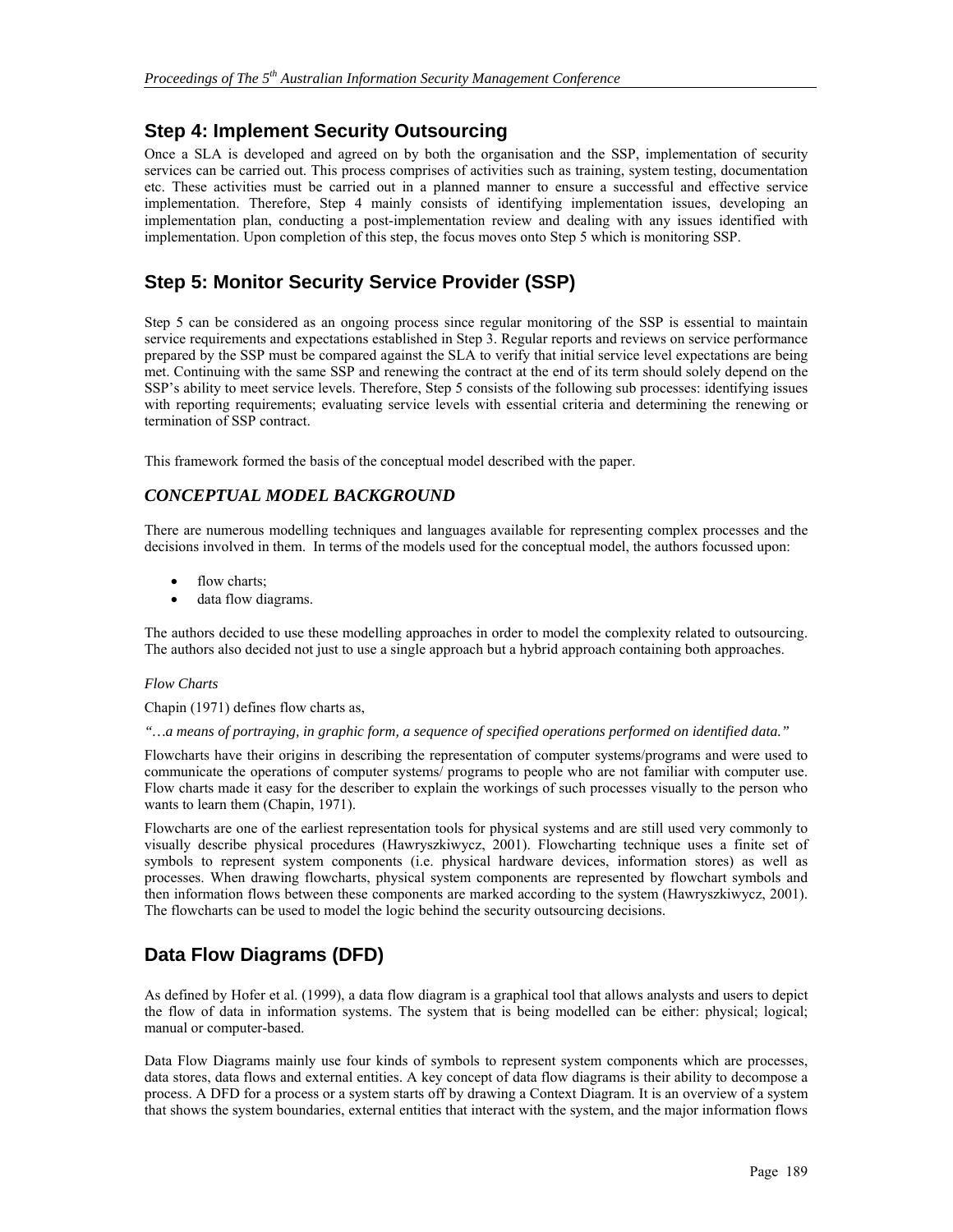## **Step 4: Implement Security Outsourcing**

Once a SLA is developed and agreed on by both the organisation and the SSP, implementation of security services can be carried out. This process comprises of activities such as training, system testing, documentation etc. These activities must be carried out in a planned manner to ensure a successful and effective service implementation. Therefore, Step 4 mainly consists of identifying implementation issues, developing an implementation plan, conducting a post-implementation review and dealing with any issues identified with implementation. Upon completion of this step, the focus moves onto Step 5 which is monitoring SSP.

## **Step 5: Monitor Security Service Provider (SSP)**

Step 5 can be considered as an ongoing process since regular monitoring of the SSP is essential to maintain service requirements and expectations established in Step 3. Regular reports and reviews on service performance prepared by the SSP must be compared against the SLA to verify that initial service level expectations are being met. Continuing with the same SSP and renewing the contract at the end of its term should solely depend on the SSP's ability to meet service levels. Therefore, Step 5 consists of the following sub processes: identifying issues with reporting requirements; evaluating service levels with essential criteria and determining the renewing or termination of SSP contract.

This framework formed the basis of the conceptual model described with the paper.

### *CONCEPTUAL MODEL BACKGROUND*

There are numerous modelling techniques and languages available for representing complex processes and the decisions involved in them. In terms of the models used for the conceptual model, the authors focussed upon:

- flow charts;
- data flow diagrams.

The authors decided to use these modelling approaches in order to model the complexity related to outsourcing. The authors also decided not just to use a single approach but a hybrid approach containing both approaches.

#### *Flow Charts*

Chapin (1971) defines flow charts as,

*"…a means of portraying, in graphic form, a sequence of specified operations performed on identified data."* 

Flowcharts have their origins in describing the representation of computer systems/programs and were used to communicate the operations of computer systems/ programs to people who are not familiar with computer use. Flow charts made it easy for the describer to explain the workings of such processes visually to the person who wants to learn them (Chapin, 1971).

Flowcharts are one of the earliest representation tools for physical systems and are still used very commonly to visually describe physical procedures (Hawryszkiwycz, 2001). Flowcharting technique uses a finite set of symbols to represent system components (i.e. physical hardware devices, information stores) as well as processes. When drawing flowcharts, physical system components are represented by flowchart symbols and then information flows between these components are marked according to the system (Hawryszkiwycz, 2001). The flowcharts can be used to model the logic behind the security outsourcing decisions.

# **Data Flow Diagrams (DFD)**

As defined by Hofer et al. (1999), a data flow diagram is a graphical tool that allows analysts and users to depict the flow of data in information systems. The system that is being modelled can be either: physical; logical; manual or computer-based.

Data Flow Diagrams mainly use four kinds of symbols to represent system components which are processes, data stores, data flows and external entities. A key concept of data flow diagrams is their ability to decompose a process. A DFD for a process or a system starts off by drawing a Context Diagram. It is an overview of a system that shows the system boundaries, external entities that interact with the system, and the major information flows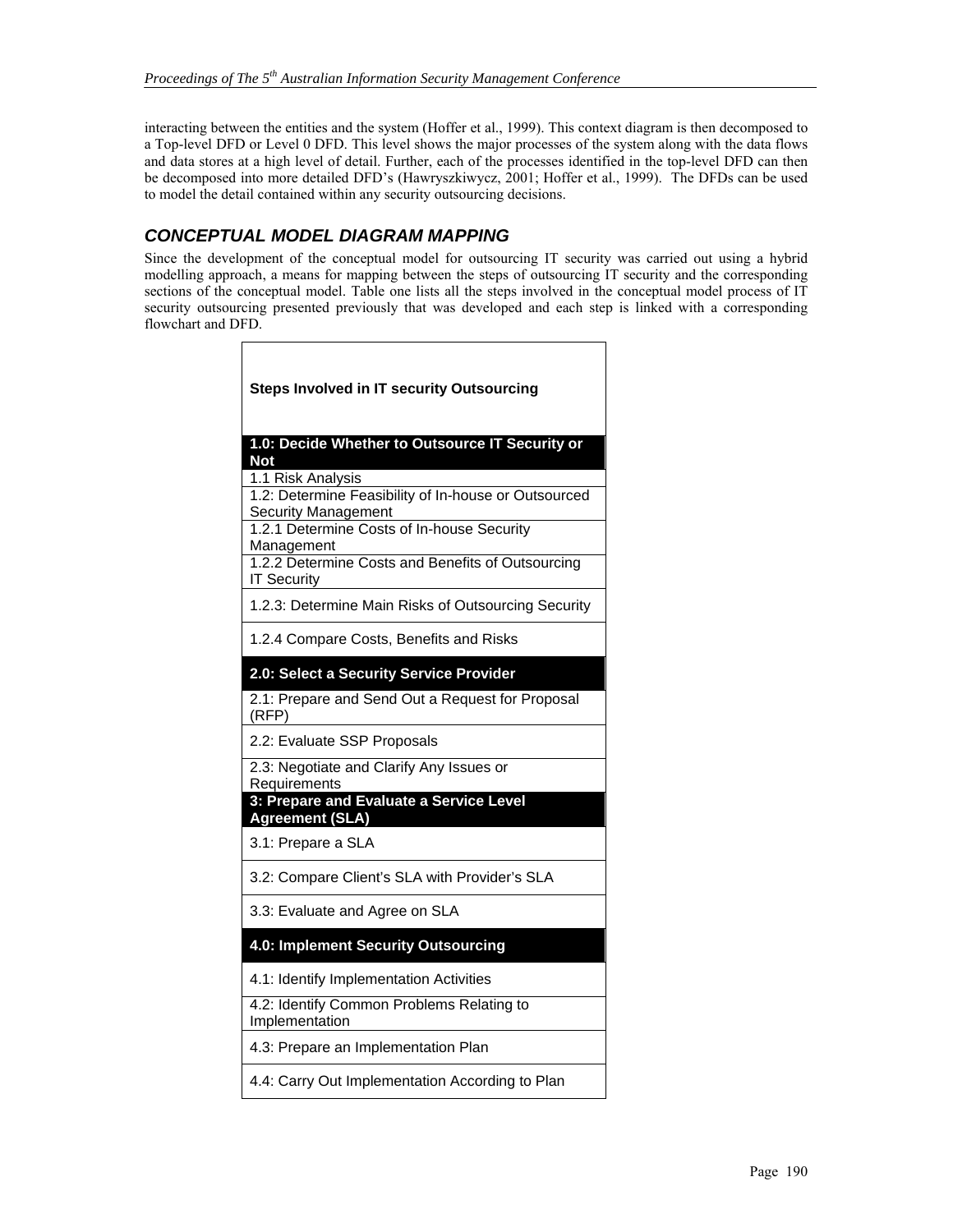interacting between the entities and the system (Hoffer et al., 1999). This context diagram is then decomposed to a Top-level DFD or Level 0 DFD. This level shows the major processes of the system along with the data flows and data stores at a high level of detail. Further, each of the processes identified in the top-level DFD can then be decomposed into more detailed DFD's (Hawryszkiwycz, 2001; Hoffer et al., 1999). The DFDs can be used to model the detail contained within any security outsourcing decisions.

### *CONCEPTUAL MODEL DIAGRAM MAPPING*

Г

Since the development of the conceptual model for outsourcing IT security was carried out using a hybrid modelling approach, a means for mapping between the steps of outsourcing IT security and the corresponding sections of the conceptual model. Table one lists all the steps involved in the conceptual model process of IT security outsourcing presented previously that was developed and each step is linked with a corresponding flowchart and DFD.

| <b>Steps Involved in IT security Outsourcing</b>                                   |
|------------------------------------------------------------------------------------|
| 1.0: Decide Whether to Outsource IT Security or<br><b>Not</b>                      |
| 1.1 Risk Analysis                                                                  |
| 1.2: Determine Feasibility of In-house or Outsourced<br><b>Security Management</b> |
| 1.2.1 Determine Costs of In-house Security<br>Management                           |
| 1.2.2 Determine Costs and Benefits of Outsourcing<br><b>IT Security</b>            |
| 1.2.3: Determine Main Risks of Outsourcing Security                                |
| 1.2.4 Compare Costs, Benefits and Risks                                            |
| 2.0: Select a Security Service Provider                                            |
| 2.1: Prepare and Send Out a Request for Proposal<br>(RFP)                          |
| 2.2: Evaluate SSP Proposals                                                        |
| 2.3: Negotiate and Clarify Any Issues or<br>Requirements                           |
| 3: Prepare and Evaluate a Service Level<br><b>Agreement (SLA)</b>                  |
| 3.1: Prepare a SLA                                                                 |
| 3.2: Compare Client's SLA with Provider's SLA                                      |
| 3.3: Evaluate and Agree on SLA                                                     |
| 4.0: Implement Security Outsourcing                                                |
| 4.1: Identify Implementation Activities                                            |
| 4.2: Identify Common Problems Relating to<br>Implementation                        |
| 4.3: Prepare an Implementation Plan                                                |
| 4.4: Carry Out Implementation According to Plan                                    |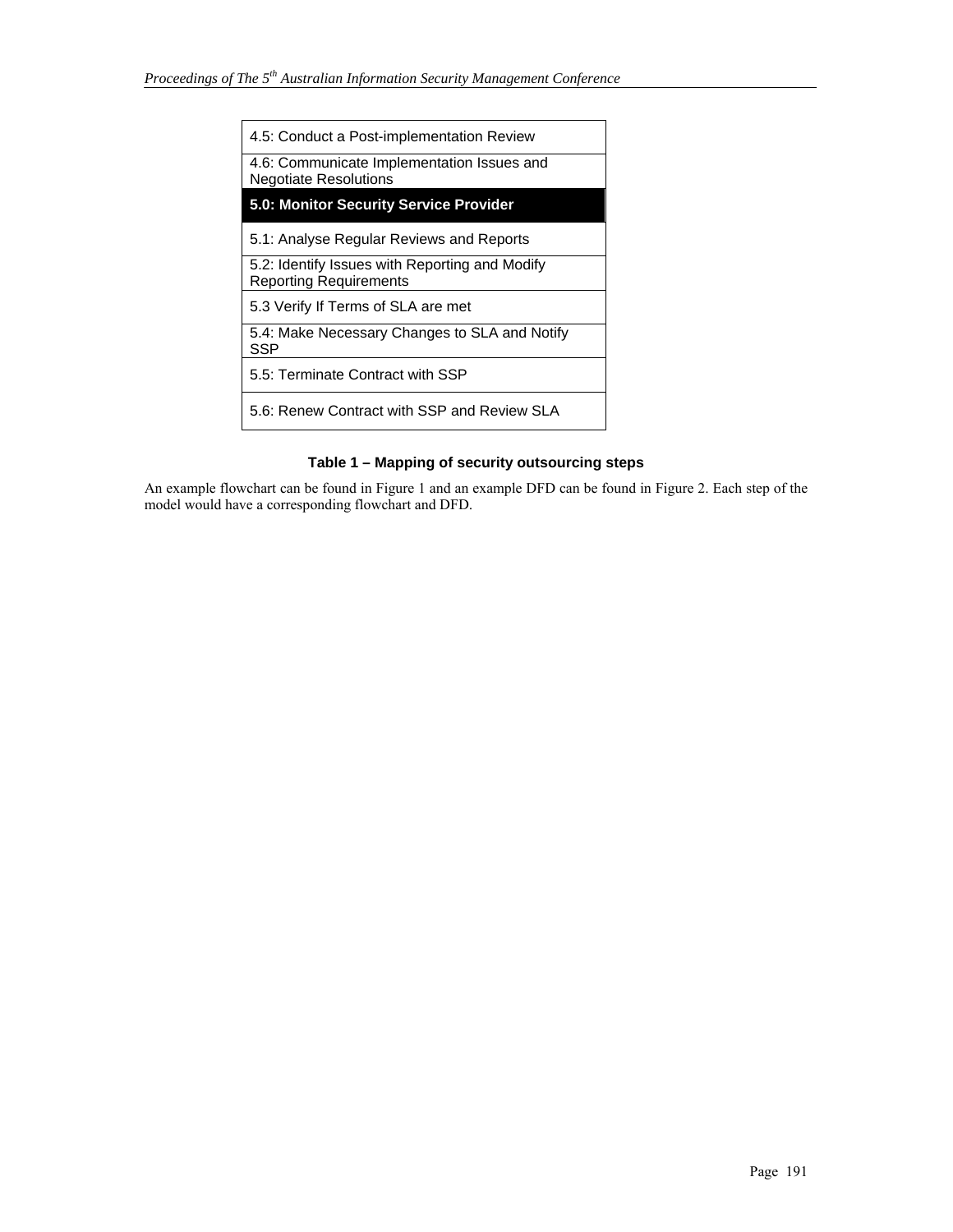| 4.5: Conduct a Post-implementation Review                                       |
|---------------------------------------------------------------------------------|
| 4.6: Communicate Implementation Issues and<br><b>Negotiate Resolutions</b>      |
| 5.0: Monitor Security Service Provider                                          |
| 5.1: Analyse Regular Reviews and Reports                                        |
| 5.2: Identify Issues with Reporting and Modify<br><b>Reporting Requirements</b> |
| 5.3 Verify If Terms of SLA are met                                              |
| 5.4: Make Necessary Changes to SLA and Notify<br>SSP                            |
| 5.5: Terminate Contract with SSP                                                |
| 5.6: Renew Contract with SSP and Review SLA                                     |

### **Table 1 – Mapping of security outsourcing steps**

An example flowchart can be found in Figure 1 and an example DFD can be found in Figure 2. Each step of the model would have a corresponding flowchart and DFD.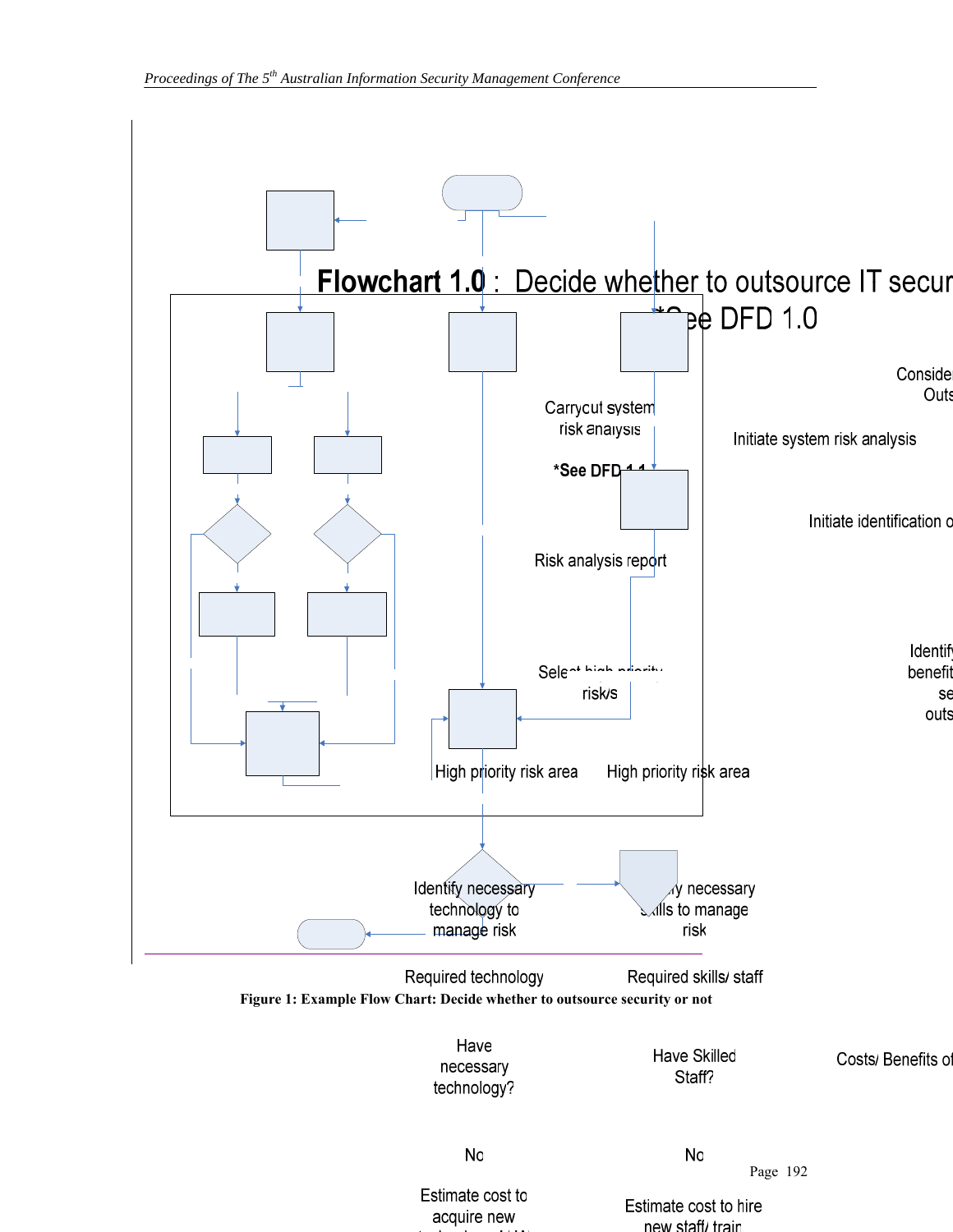

Estimate cost to acquire new

Estimate cost to hire new staff/ train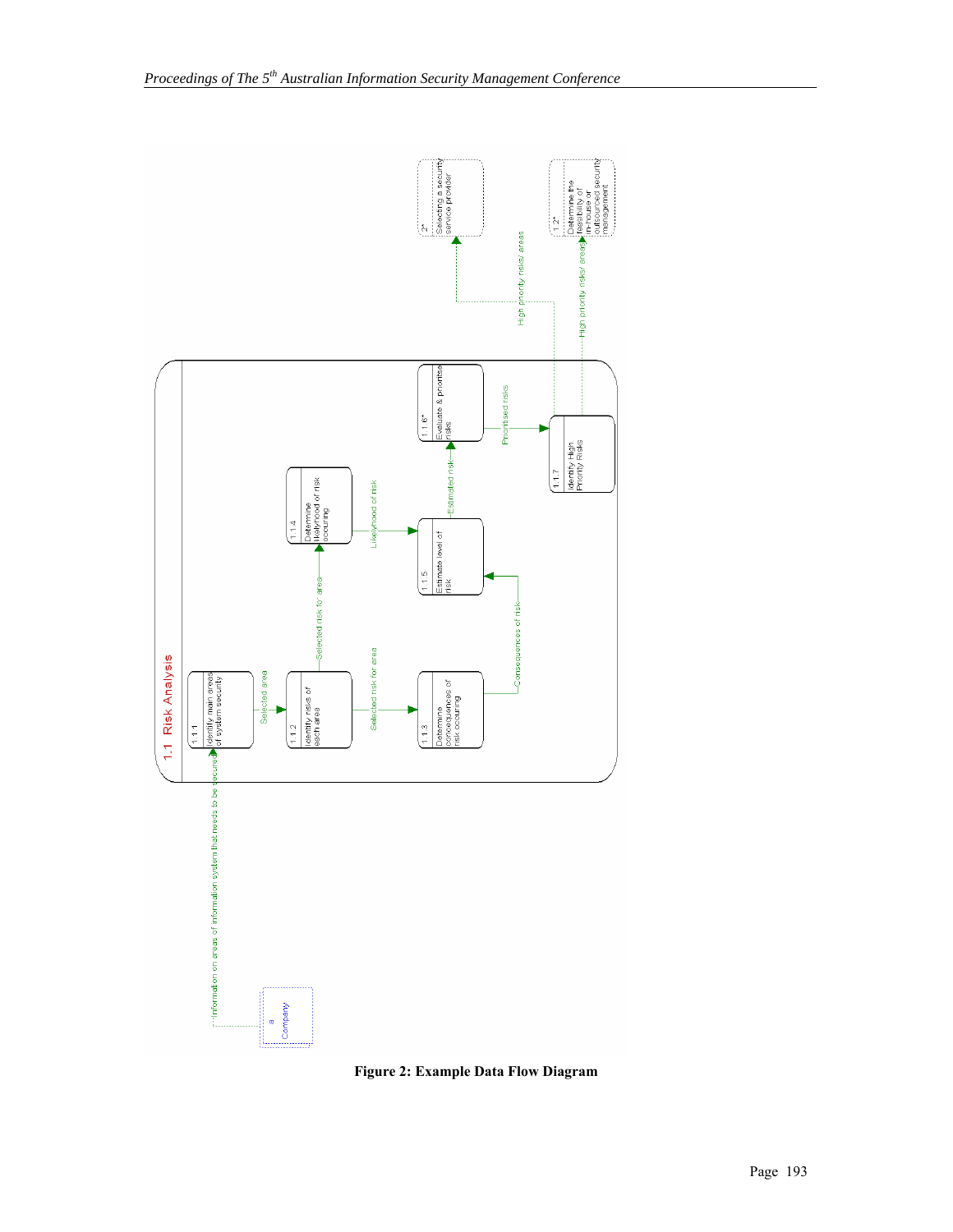

**Figure 2: Example Data Flow Diagram**